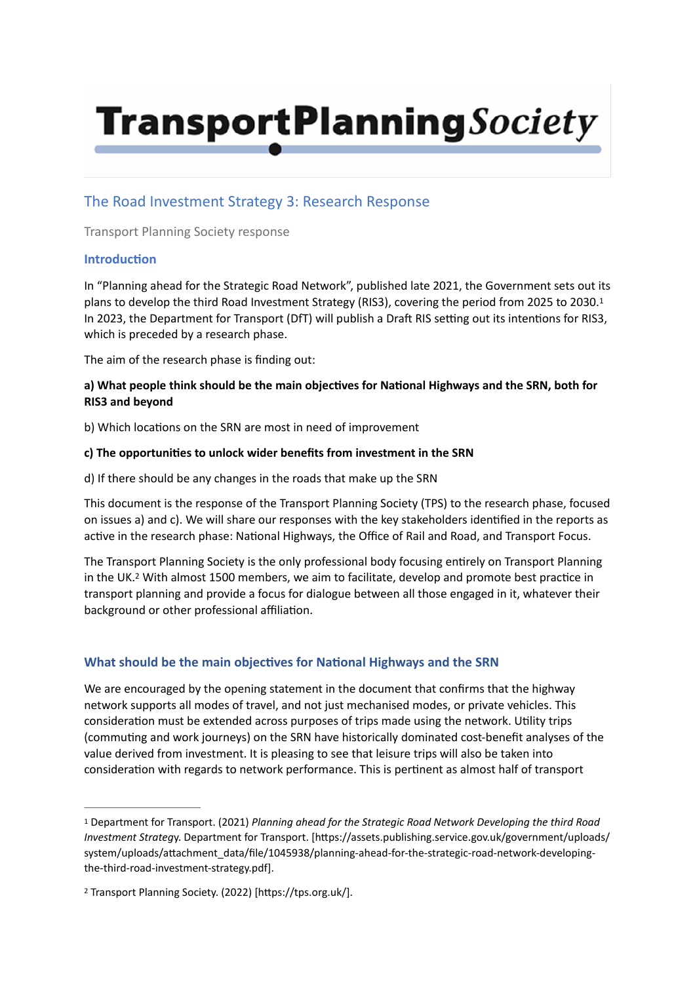# **TransportPlanning**Society

## The Road Investment Strategy 3: Research Response

Transport Planning Society response

## **Introduction**

<span id="page-0-2"></span>In "Planning ahead for the Strategic Road Network", published late 2021, the Government sets out its plans to develop the third Road Investment Strategy (RIS3), covering the period from 2025 to 2030[.1](#page-0-0) In 2023, the Department for Transport (DfT) will publish a Draft RIS setting out its intentions for RIS3, which is preceded by a research phase.

The aim of the research phase is finding out:

## a) What people think should be the main objectives for National Highways and the SRN, both for **RIS3 and beyond**

b) Which locations on the SRN are most in need of improvement

#### c) The opportunities to unlock wider benefits from investment in the SRN

d) If there should be any changes in the roads that make up the SRN

This document is the response of the Transport Planning Society (TPS) to the research phase, focused on issues a) and c). We will share our responses with the key stakeholders identified in the reports as active in the research phase: National Highways, the Office of Rail and Road, and Transport Focus.

<span id="page-0-3"></span>The Transport Planning Society is the only professional body focusing entirely on Transport Planning in the UK.<sup>[2](#page-0-1)</sup> With almost 1500 members, we aim to facilitate, develop and promote best practice in transport planning and provide a focus for dialogue between all those engaged in it, whatever their background or other professional affiliation.

## **What should be the main objectives for National Highways and the SRN**

We are encouraged by the opening statement in the document that confirms that the highway network supports all modes of travel, and not just mechanised modes, or private vehicles. This consideration must be extended across purposes of trips made using the network. Utility trips (commuting and work journeys) on the SRN have historically dominated cost-benefit analyses of the value derived from investment. It is pleasing to see that leisure trips will also be taken into consideration with regards to network performance. This is pertinent as almost half of transport

<span id="page-0-0"></span>Department for Transport. (2021) *Planning ahead for the Strategic Road Network Developing the third Road* [1](#page-0-2) *Investment Strategy*. Department for Transport. [https://assets.publishing.service.gov.uk/government/uploads/ system/uploads/attachment\_data/file/1045938/planning-ahead-for-the-strategic-road-network-developingthe-third-road-investment-strategy.pdf].

<span id="page-0-1"></span><sup>&</sup>lt;sup>[2](#page-0-3)</sup> Transport Planning Society. (2022) [https://tps.org.uk/].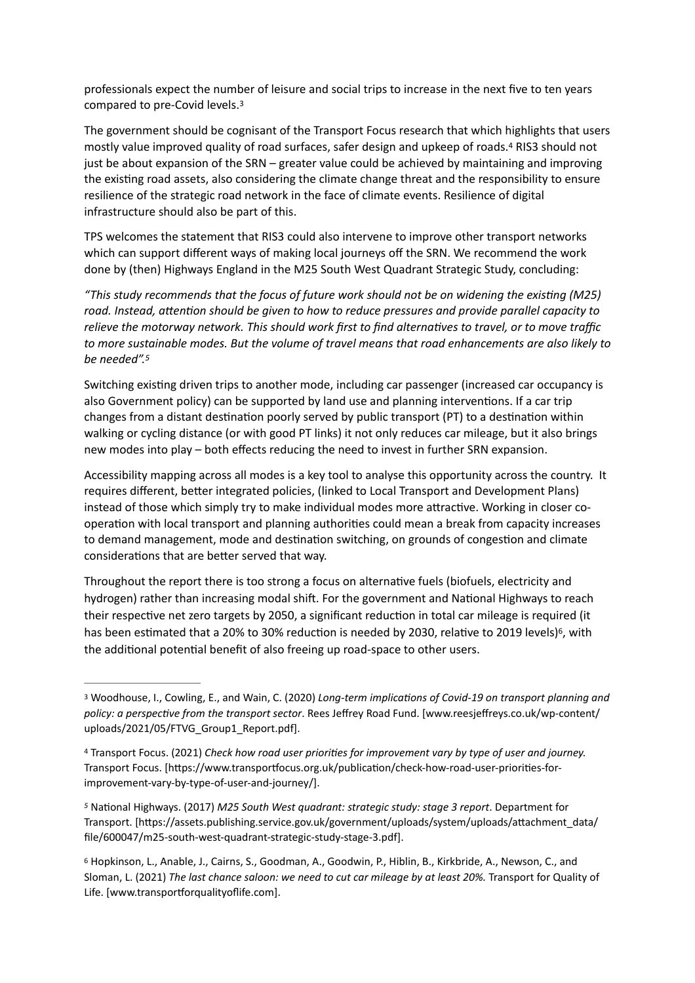<span id="page-1-4"></span>professionals expect the number of leisure and social trips to increase in the next five to ten years compared to pre-Covid levels[. 3](#page-1-0)

<span id="page-1-5"></span>The government should be cognisant of the Transport Focus research that which highlights that users mostly value improved quality of road surfaces, safer design and upkeep of roads[.](#page-1-1)<sup>[4](#page-1-1)</sup> RIS3 should not just be about expansion of the SRN – greater value could be achieved by maintaining and improving the existing road assets, also considering the climate change threat and the responsibility to ensure resilience of the strategic road network in the face of climate events. Resilience of digital infrastructure should also be part of this.

TPS welcomes the statement that RIS3 could also intervene to improve other transport networks which can support different ways of making local journeys off the SRN. We recommend the work done by (then) Highways England in the M25 South West Quadrant Strategic Study, concluding:

"This study recommends that the focus of future work should not be on widening the existing (M25) road. Instead, attention should be given to how to reduce pressures and provide parallel capacity to relieve the motorway network. This should work first to find alternatives to travel, or to move traffic *to more sustainable modes. But the volume of travel means that road enhancements are also likely to be needed"[.5](#page-1-2)*

<span id="page-1-6"></span>Switching existing driven trips to another mode, including car passenger (increased car occupancy is also Government policy) can be supported by land use and planning interventions. If a car trip changes from a distant destination poorly served by public transport (PT) to a destination within walking or cycling distance (or with good PT links) it not only reduces car mileage, but it also brings new modes into play – both effects reducing the need to invest in further SRN expansion.

Accessibility mapping across all modes is a key tool to analyse this opportunity across the country. It requires different, better integrated policies, (linked to Local Transport and Development Plans) instead of those which simply try to make individual modes more attractive. Working in closer cooperation with local transport and planning authorities could mean a break from capacity increases to demand management, mode and destination switching, on grounds of congestion and climate considerations that are better served that way.

<span id="page-1-7"></span>Throughout the report there is too strong a focus on alternative fuels (biofuels, electricity and hydrogen) rather than increasing modal shift. For the government and National Highways to reach their respective net zero targets by 2050, a significant reduction in total car mileage is required (it has been estimated that a 20% to 30% reduction is needed by 2030[,](#page-1-3) relative to 2019 levels)<sup>[6](#page-1-3)</sup>, with the additional potential benefit of also freeing up road-space to other users.

<span id="page-1-0"></span><sup>&</sup>lt;sup>[3](#page-1-4)</sup> Woodhouse, I., Cowling, E., and Wain, C. (2020) *Long-term implications of Covid-19 on transport planning and* policy: a perspective from the transport sector. Rees Jeffrey Road Fund. [www.reesjeffreys.co.uk/wp-content/ uploads/2021/05/FTVG\_Group1\_Report.pdf].

<span id="page-1-1"></span><sup>&</sup>lt;sup>[4](#page-1-5)</sup> Transport Focus. (2021) *Check how road user priorities for improvement vary by type of user and journey.* Transport Focus. [https://www.transportfocus.org.uk/publication/check-how-road-user-priorities-forimprovement-vary-by-type-of-user-and-journey/].

<span id="page-1-2"></span><sup>&</sup>lt;sup>[5](#page-1-6)</sup> National Highways. (2017) *M25 South West quadrant: strategic study: stage 3 report*. Department for Transport. [https://assets.publishing.service.gov.uk/government/uploads/system/uploads/attachment\_data/ file/600047/m25-south-west-quadrant-strategic-study-stage-3.pdf].

<span id="page-1-3"></span>Hopkinson, L., Anable, J., Cairns, S., Goodman, A., Goodwin, P., Hiblin, B., Kirkbride, A., Newson, C., and [6](#page-1-7) Sloman, L. (2021) *The last chance saloon: we need to cut car mileage by at least 20%.* Transport for Quality of Life. [www.transportforqualityoflife.com].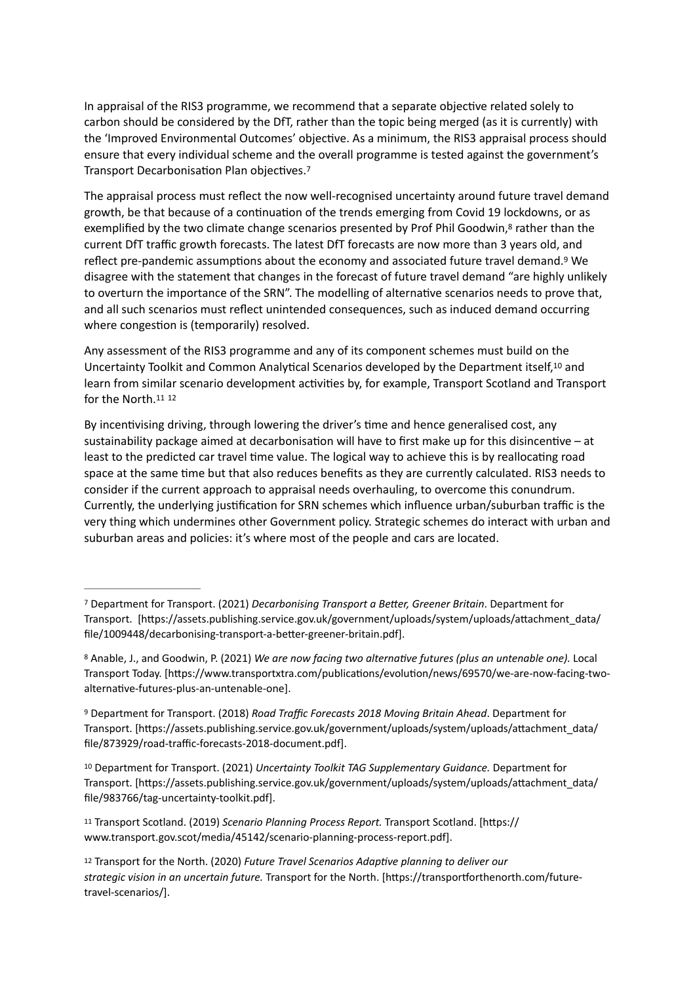In appraisal of the RIS3 programme, we recommend that a separate objective related solely to carbon should be considered by the DfT, rather than the topic being merged (as it is currently) with the 'Improved Environmental Outcomes' objective. As a minimum, the RIS3 appraisal process should ensure that every individual scheme and the overall programme is tested against the government's Transport Decarbonisation Plan objectives[.](#page-2-0)<sup>[7](#page-2-0)</sup>

<span id="page-2-8"></span><span id="page-2-7"></span><span id="page-2-6"></span>The appraisal process must reflect the now well-recognised uncertainty around future travel demand growth, be that because of a continuation of the trends emerging from Covid 19 lockdowns, or as exemplified by the two climate change scenarios presented by Prof Phil Goodwin,<sup>[8](#page-2-1)</sup> rather than the current DfT traffic growth forecasts. The latest DfT forecasts are now more than 3 years old, and reflect pre-pandemic assumptions about the economy and associated future travel demand.<sup>[9](#page-2-2)</sup> We disagree with the statement that changes in the forecast of future travel demand "are highly unlikely to overturn the importance of the SRN". The modelling of alternative scenarios needs to prove that, and all such scenarios must reflect unintended consequences, such as induced demand occurring where congestion is (temporarily) resolved.

<span id="page-2-9"></span>Any assessment of the RIS3 programme and any of its component schemes must build on the Uncertainty Toolkit and Common Analytical Scenarios developed by the Department itself, <sup>[10](#page-2-3)</sup> and learn from similar scenario development activities by, for example, Transport Scotland and Transport for the North.[11](#page-2-4) [12](#page-2-5)

<span id="page-2-11"></span><span id="page-2-10"></span>By incentivising driving, through lowering the driver's time and hence generalised cost, any sustainability package aimed at decarbonisation will have to first make up for this disincentive  $-$  at least to the predicted car travel time value. The logical way to achieve this is by reallocating road space at the same time but that also reduces benefits as they are currently calculated. RIS3 needs to consider if the current approach to appraisal needs overhauling, to overcome this conundrum. Currently, the underlying justification for SRN schemes which influence urban/suburban traffic is the very thing which undermines other Government policy. Strategic schemes do interact with urban and suburban areas and policies: it's where most of the people and cars are located.

<span id="page-2-3"></span><sup>[10](#page-2-9)</sup> Department for Transport. (2021) *Uncertainty Toolkit TAG Supplementary Guidance*. Department for Transport. [https://assets.publishing.service.gov.uk/government/uploads/system/uploads/attachment\_data/ file/983766/tag-uncertainty-toolkit.pdf].

<span id="page-2-0"></span>Department for Transport. (2021) *Decarbonising Transport a BeIer, Greener Britain*. Department for [7](#page-2-6) Transport. [https://assets.publishing.service.gov.uk/government/uploads/system/uploads/attachment\_data/ file/1009448/decarbonising-transport-a-better-greener-britain.pdf].

<span id="page-2-1"></span>[<sup>8</sup>](#page-2-7) Anable, J., and Goodwin, P. (2021) *We are now facing two alternative futures (plus an untenable one)*. Local Transport Today. [https://www.transportxtra.com/publications/evolution/news/69570/we-are-now-facing-twoalternative-futures-plus-an-untenable-one].

<span id="page-2-2"></span>Department for Transport. (2018) *Road Traffic Forecasts 2018 Moving Britain Ahead*. Department for [9](#page-2-8) Transport. [https://assets.publishing.service.gov.uk/government/uploads/system/uploads/attachment\_data/ file/873929/road-traffic-forecasts-2018-document.pdf].

<span id="page-2-4"></span><sup>&</sup>lt;sup>[11](#page-2-10)</sup> Transport Scotland. (2019) *Scenario Planning Process Report*. Transport Scotland. [https:// www.transport.gov.scot/media/45142/scenario-planning-process-report.pdf].

<span id="page-2-5"></span><sup>&</sup>lt;sup>[12](#page-2-11)</sup> Transport for the North. (2020) *Future Travel Scenarios Adaptive planning to deliver our* strategic vision in an uncertain future. Transport for the North. [https://transportforthenorth.com/futuretravel-scenarios/].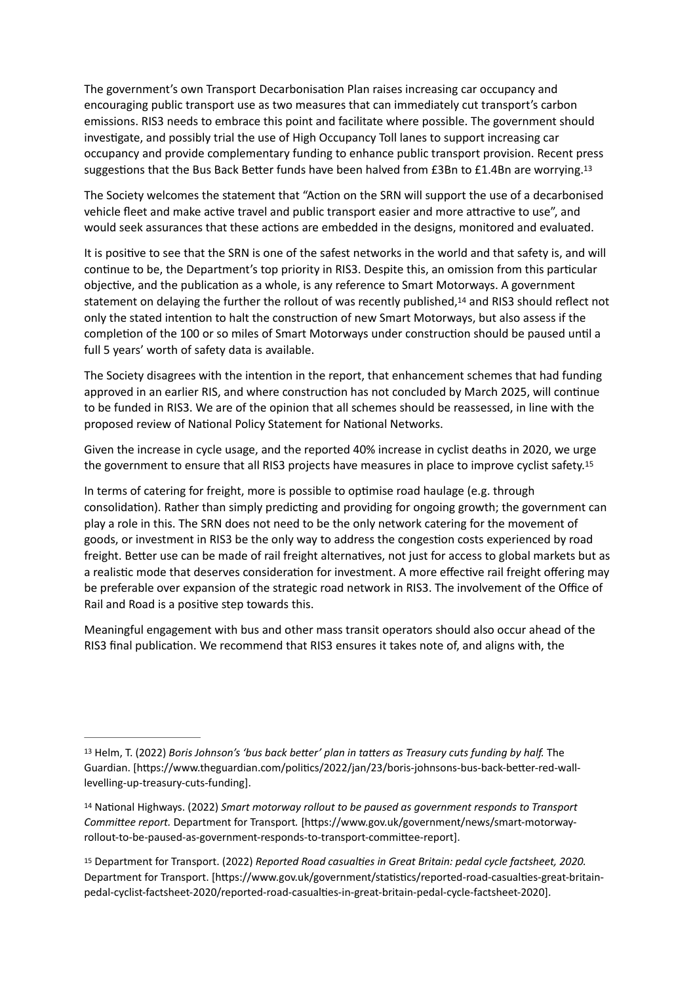The government's own Transport Decarbonisation Plan raises increasing car occupancy and encouraging public transport use as two measures that can immediately cut transport's carbon emissions. RIS3 needs to embrace this point and facilitate where possible. The government should investigate, and possibly trial the use of High Occupancy Toll lanes to support increasing car occupancy and provide complementary funding to enhance public transport provision. Recent press suggestions that the Bus Back Better funds have been halved from  $£3Bn$  to  $£1.4Bn$  are worrying.<sup>[13](#page-3-0)</sup>

<span id="page-3-3"></span>The Society welcomes the statement that "Action on the SRN will support the use of a decarbonised vehicle fleet and make active travel and public transport easier and more attractive to use", and would seek assurances that these actions are embedded in the designs, monitored and evaluated.

<span id="page-3-4"></span>It is positive to see that the SRN is one of the safest networks in the world and that safety is, and will continue to be, the Department's top priority in RIS3. Despite this, an omission from this particular objective, and the publication as a whole, is any reference to Smart Motorways. A government statement on delaying the further the rollout of was recently published.<sup>[14](#page-3-1)</sup> and RIS3 should reflect not only the stated intention to halt the construction of new Smart Motorways, but also assess if the completion of the 100 or so miles of Smart Motorways under construction should be paused until a full 5 years' worth of safety data is available.

The Society disagrees with the intention in the report, that enhancement schemes that had funding approved in an earlier RIS, and where construction has not concluded by March 2025, will continue to be funded in RIS3. We are of the opinion that all schemes should be reassessed, in line with the proposed review of National Policy Statement for National Networks.

<span id="page-3-5"></span>Given the increase in cycle usage, and the reported 40% increase in cyclist deaths in 2020, we urge the government to ensure that all RIS3 projects have measures in place to improve cyclist safety.<sup>[15](#page-3-2)</sup>

In terms of catering for freight, more is possible to optimise road haulage (e.g. through consolidation). Rather than simply predicting and providing for ongoing growth; the government can play a role in this. The SRN does not need to be the only network catering for the movement of goods, or investment in RIS3 be the only way to address the congestion costs experienced by road freight. Better use can be made of rail freight alternatives, not just for access to global markets but as a realistic mode that deserves consideration for investment. A more effective rail freight offering may be preferable over expansion of the strategic road network in RIS3. The involvement of the Office of Rail and Road is a positive step towards this.

Meaningful engagement with bus and other mass transit operators should also occur ahead of the RIS3 final publication. We recommend that RIS3 ensures it takes note of, and aligns with, the

<span id="page-3-0"></span>[<sup>13</sup>](#page-3-3) Helm, T. (2022) *Boris Johnson's 'bus back better' plan in tatters as Treasury cuts funding by half.* The Guardian. [https://www.theguardian.com/politics/2022/jan/23/boris-johnsons-bus-back-better-red-walllevelling-up-treasury-cuts-funding].

<span id="page-3-1"></span><sup>&</sup>lt;sup>[14](#page-3-4)</sup> National Highways. (2022) *Smart motorway rollout to be paused as government responds to Transport CommiIee report.* Department for Transport*.* [h[ps://www.gov.uk/government/news/smart-motorwayrollout-to-be-paused-as-government-responds-to-transport-committee-report].

<span id="page-3-2"></span><sup>&</sup>lt;sup>[15](#page-3-5)</sup> Department for Transport. (2022) *Reported Road casualties in Great Britain: pedal cycle factsheet, 2020.* Department for Transport. [https://www.gov.uk/government/statistics/reported-road-casualties-great-britainpedal-cyclist-factsheet-2020/reported-road-casualties-in-great-britain-pedal-cycle-factsheet-2020].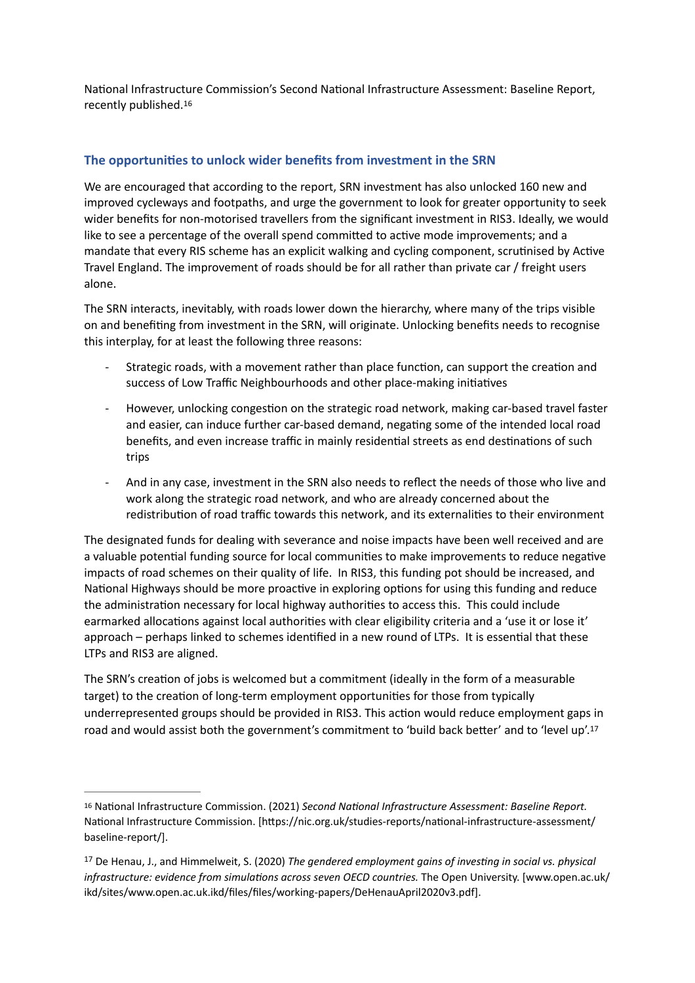<span id="page-4-2"></span>National Infrastructure Commission's Second National Infrastructure Assessment: Baseline Report, recently published[. 16](#page-4-0)

## The opportunities to unlock wider benefits from investment in the SRN

We are encouraged that according to the report, SRN investment has also unlocked 160 new and improved cycleways and footpaths, and urge the government to look for greater opportunity to seek wider benefits for non-motorised travellers from the significant investment in RIS3. Ideally, we would like to see a percentage of the overall spend committed to active mode improvements; and a mandate that every RIS scheme has an explicit walking and cycling component, scrutinised by Active Travel England. The improvement of roads should be for all rather than private car / freight users alone.

The SRN interacts, inevitably, with roads lower down the hierarchy, where many of the trips visible on and benefiting from investment in the SRN, will originate. Unlocking benefits needs to recognise this interplay, for at least the following three reasons:

- Strategic roads, with a movement rather than place function, can support the creation and success of Low Traffic Neighbourhoods and other place-making initiatives
- However, unlocking congestion on the strategic road network, making car-based travel faster and easier, can induce further car-based demand, negating some of the intended local road benefits, and even increase traffic in mainly residential streets as end destinations of such trips
- And in any case, investment in the SRN also needs to reflect the needs of those who live and work along the strategic road network, and who are already concerned about the redistribution of road traffic towards this network, and its externalities to their environment

The designated funds for dealing with severance and noise impacts have been well received and are a valuable potential funding source for local communities to make improvements to reduce negative impacts of road schemes on their quality of life. In RIS3, this funding pot should be increased, and National Highways should be more proactive in exploring options for using this funding and reduce the administration necessary for local highway authorities to access this. This could include earmarked allocations against local authorities with clear eligibility criteria and a 'use it or lose it' approach – perhaps linked to schemes identified in a new round of LTPs. It is essential that these LTPs and RIS3 are aligned.

<span id="page-4-3"></span>The SRN's creation of jobs is welcomed but a commitment (ideally in the form of a measurable target) to the creation of long-term employment opportunities for those from typically underrepresented groups should be provided in RIS3. This action would reduce employment gaps in road and would assist both the government's commitment to 'build back better' and to 'level up'.<sup>17</sup>

<span id="page-4-0"></span><sup>&</sup>lt;sup>[16](#page-4-2)</sup> National Infrastructure Commission. (2021) *Second National Infrastructure Assessment: Baseline Report.* National Infrastructure Commission. [https://nic.org.uk/studies-reports/national-infrastructure-assessment/ baseline-report/].

<span id="page-4-1"></span><sup>&</sup>lt;sup>[17](#page-4-3)</sup> De Henau, J., and Himmelweit, S. (2020) *The gendered employment gains of investing in social vs. physical infrastructure: evidence from simulations across seven OECD countries.* The Open University. [www.open.ac.uk/ ikd/sites/www.open.ac.uk.ikd/files/files/working-papers/DeHenauApril2020v3.pdf].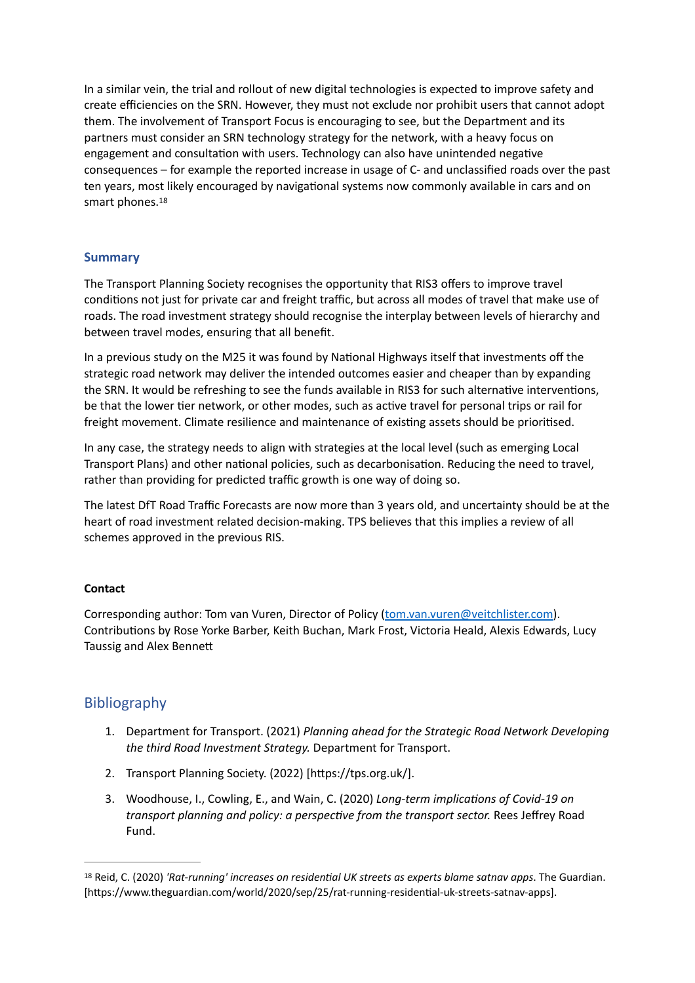In a similar vein, the trial and rollout of new digital technologies is expected to improve safety and create efficiencies on the SRN. However, they must not exclude nor prohibit users that cannot adopt them. The involvement of Transport Focus is encouraging to see, but the Department and its partners must consider an SRN technology strategy for the network, with a heavy focus on engagement and consultation with users. Technology can also have unintended negative consequences – for example the reported increase in usage of C- and unclassified roads over the past ten years, most likely encouraged by navigational systems now commonly available in cars and on smart phones[.18](#page-5-0)

## <span id="page-5-1"></span>**Summary**

The Transport Planning Society recognises the opportunity that RIS3 offers to improve travel conditions not just for private car and freight traffic, but across all modes of travel that make use of roads. The road investment strategy should recognise the interplay between levels of hierarchy and between travel modes, ensuring that all benefit.

In a previous study on the M25 it was found by National Highways itself that investments off the strategic road network may deliver the intended outcomes easier and cheaper than by expanding the SRN. It would be refreshing to see the funds available in RIS3 for such alternative interventions, be that the lower tier network, or other modes, such as active travel for personal trips or rail for freight movement. Climate resilience and maintenance of existing assets should be prioritised.

In any case, the strategy needs to align with strategies at the local level (such as emerging Local Transport Plans) and other national policies, such as decarbonisation. Reducing the need to travel, rather than providing for predicted traffic growth is one way of doing so.

The latest DfT Road Traffic Forecasts are now more than 3 years old, and uncertainty should be at the heart of road investment related decision-making. TPS believes that this implies a review of all schemes approved in the previous RIS.

## **Contact**

Corresponding author: Tom van Vuren, Director of Policy ([tom.van.vuren@veitchlister.com\)](mailto:tom.van.vuren@veitchlister.com). Contributions by Rose Yorke Barber, Keith Buchan, Mark Frost, Victoria Heald, Alexis Edwards, Lucy Taussig and Alex Bennett

# Bibliography

- 1. Department for Transport. (2021) *Planning ahead for the Strategic Road Network Developing the third Road Investment Strategy.* Department for Transport.
- 2. Transport Planning Society. (2022) [https://tps.org.uk/].
- 3. Woodhouse, I., Cowling, E., and Wain, C. (2020) *Long-term implications of Covid-19 on transport planning and policy: a perspective from the transport sector.* Rees Jeffrey Road Fund.

<span id="page-5-0"></span>[<sup>18</sup>](#page-5-1) Reid, C. (2020) *'Rat-running' increases on residential UK streets as experts blame satnav apps*. The Guardian. [https://www.theguardian.com/world/2020/sep/25/rat-running-residential-uk-streets-satnav-apps].